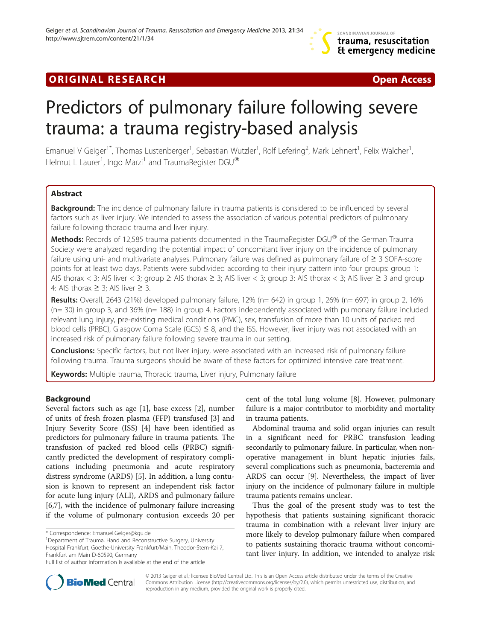## **ORIGINAL RESEARCH CONSUMING A RESEARCH CONSUMING A RESEARCH**

# Predictors of pulmonary failure following severe trauma: a trauma registry-based analysis

Emanuel V Geiger<sup>1\*</sup>, Thomas Lustenberger<sup>1</sup>, Sebastian Wutzler<sup>1</sup>, Rolf Lefering<sup>2</sup>, Mark Lehnert<sup>1</sup>, Felix Walcher<sup>1</sup> , Helmut L Laurer<sup>1</sup>, Ingo Marzi<sup>1</sup> and TraumaRegister DGU®

## Abstract

Background: The incidence of pulmonary failure in trauma patients is considered to be influenced by several factors such as liver injury. We intended to assess the association of various potential predictors of pulmonary failure following thoracic trauma and liver injury.

Methods: Records of 12,585 trauma patients documented in the TraumaRegister DGU® of the German Trauma Society were analyzed regarding the potential impact of concomitant liver injury on the incidence of pulmonary failure using uni- and multivariate analyses. Pulmonary failure was defined as pulmonary failure of ≥ 3 SOFA-score points for at least two days. Patients were subdivided according to their injury pattern into four groups: group 1: AIS thorax < 3; AIS liver < 3; group 2: AIS thorax  $\geq$  3; AIS liver < 3; group 3: AIS thorax < 3; AIS liver  $\geq$  3 and group 4: AIS thorax  $\geq$  3; AIS liver  $\geq$  3.

**Results:** Overall, 2643 (21%) developed pulmonary failure, 12% ( $n= 642$ ) in group 1, 26% ( $n= 697$ ) in group 2, 16% (n= 30) in group 3, and 36% (n= 188) in group 4. Factors independently associated with pulmonary failure included relevant lung injury, pre-existing medical conditions (PMC), sex, transfusion of more than 10 units of packed red blood cells (PRBC), Glasgow Coma Scale (GCS) ≤ 8, and the ISS. However, liver injury was not associated with an increased risk of pulmonary failure following severe trauma in our setting.

Conclusions: Specific factors, but not liver injury, were associated with an increased risk of pulmonary failure following trauma. Trauma surgeons should be aware of these factors for optimized intensive care treatment.

Keywords: Multiple trauma, Thoracic trauma, Liver injury, Pulmonary failure

## Background

Several factors such as age [\[1](#page-4-0)], base excess [\[2](#page-4-0)], number of units of fresh frozen plasma (FFP) transfused [[3\]](#page-4-0) and Injury Severity Score (ISS) [\[4](#page-5-0)] have been identified as predictors for pulmonary failure in trauma patients. The transfusion of packed red blood cells (PRBC) significantly predicted the development of respiratory complications including pneumonia and acute respiratory distress syndrome (ARDS) [\[5\]](#page-5-0). In addition, a lung contusion is known to represent an independent risk factor for acute lung injury (ALI), ARDS and pulmonary failure [[6,7\]](#page-5-0), with the incidence of pulmonary failure increasing if the volume of pulmonary contusion exceeds 20 per

Department of Trauma, Hand and Reconstructive Surgery, University Hospital Frankfurt, Goethe-University Frankfurt/Main, Theodor-Stern-Kai 7, Frankfurt am Main D-60590, Germany

cent of the total lung volume [[8\]](#page-5-0). However, pulmonary failure is a major contributor to morbidity and mortality in trauma patients.

Abdominal trauma and solid organ injuries can result in a significant need for PRBC transfusion leading secondarily to pulmonary failure. In particular, when nonoperative management in blunt hepatic injuries fails, several complications such as pneumonia, bacteremia and ARDS can occur [[9](#page-5-0)]. Nevertheless, the impact of liver injury on the incidence of pulmonary failure in multiple trauma patients remains unclear.

Thus the goal of the present study was to test the hypothesis that patients sustaining significant thoracic trauma in combination with a relevant liver injury are more likely to develop pulmonary failure when compared to patients sustaining thoracic trauma without concomitant liver injury. In addition, we intended to analyze risk



© 2013 Geiger et al.; licensee BioMed Central Ltd. This is an Open Access article distributed under the terms of the Creative Commons Attribution License [\(http://creativecommons.org/licenses/by/2.0\)](http://creativecommons.org/licenses/by/2.0), which permits unrestricted use, distribution, and reproduction in any medium, provided the original work is properly cited.

<sup>\*</sup> Correspondence: [Emanuel.Geiger@kgu.de](mailto:Emanuel.Geiger@kgu.de) <sup>1</sup>

Full list of author information is available at the end of the article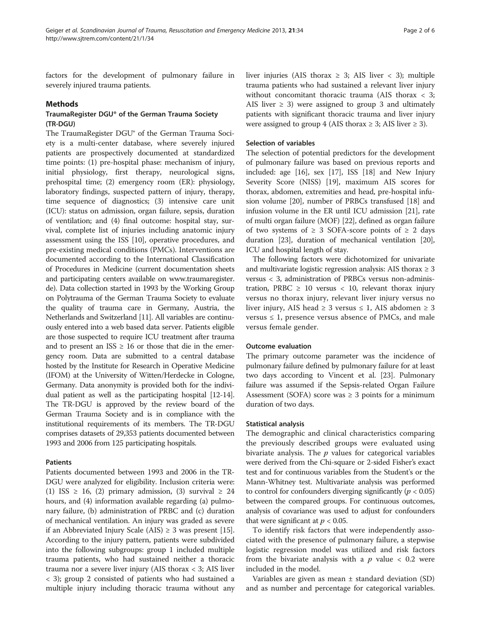factors for the development of pulmonary failure in severely injured trauma patients.

#### Methods

## TraumaRegister DGU® of the German Trauma Society (TR-DGU)

The TraumaRegister DGU® of the German Trauma Society is a multi-center database, where severely injured patients are prospectively documented at standardized time points: (1) pre-hospital phase: mechanism of injury, initial physiology, first therapy, neurological signs, prehospital time; (2) emergency room (ER): physiology, laboratory findings, suspected pattern of injury, therapy, time sequence of diagnostics; (3) intensive care unit (ICU): status on admission, organ failure, sepsis, duration of ventilation; and (4) final outcome: hospital stay, survival, complete list of injuries including anatomic injury assessment using the ISS [\[10\]](#page-5-0), operative procedures, and pre-existing medical conditions (PMCs). Interventions are documented according to the International Classification of Procedures in Medicine (current documentation sheets and participating centers available on [www.traumaregister.](http://www.traumaregister.de) [de\)](http://www.traumaregister.de). Data collection started in 1993 by the Working Group on Polytrauma of the German Trauma Society to evaluate the quality of trauma care in Germany, Austria, the Netherlands and Switzerland [\[11](#page-5-0)]. All variables are continuously entered into a web based data server. Patients eligible are those suspected to require ICU treatment after trauma and to present an  $ISS \geq 16$  or those that die in the emergency room. Data are submitted to a central database hosted by the Institute for Research in Operative Medicine (IFOM) at the University of Witten/Herdecke in Cologne, Germany. Data anonymity is provided both for the individual patient as well as the participating hospital [\[12-14](#page-5-0)]. The TR-DGU is approved by the review board of the German Trauma Society and is in compliance with the institutional requirements of its members. The TR-DGU comprises datasets of 29,353 patients documented between 1993 and 2006 from 125 participating hospitals.

#### Patients

Patients documented between 1993 and 2006 in the TR-DGU were analyzed for eligibility. Inclusion criteria were: (1) ISS  $\geq$  16, (2) primary admission, (3) survival  $\geq$  24 hours, and (4) information available regarding (a) pulmonary failure, (b) administration of PRBC and (c) duration of mechanical ventilation. An injury was graded as severe if an Abbreviated Injury Scale (AIS)  $\geq$  3 was present [[15](#page-5-0)]. According to the injury pattern, patients were subdivided into the following subgroups: group 1 included multiple trauma patients, who had sustained neither a thoracic trauma nor a severe liver injury (AIS thorax < 3; AIS liver < 3); group 2 consisted of patients who had sustained a multiple injury including thoracic trauma without any liver injuries (AIS thorax  $\geq$  3; AIS liver  $\lt$  3); multiple trauma patients who had sustained a relevant liver injury without concomitant thoracic trauma (AIS thorax < 3; AIS liver  $\geq$  3) were assigned to group 3 and ultimately patients with significant thoracic trauma and liver injury were assigned to group 4 (AIS thorax  $\geq$  3; AIS liver  $\geq$  3).

### Selection of variables

The selection of potential predictors for the development of pulmonary failure was based on previous reports and included: age [[16](#page-5-0)], sex [\[17\]](#page-5-0), ISS [\[18\]](#page-5-0) and New Injury Severity Score (NISS) [[19](#page-5-0)], maximum AIS scores for thorax, abdomen, extremities and head, pre-hospital infusion volume [[20](#page-5-0)], number of PRBCs transfused [\[18\]](#page-5-0) and infusion volume in the ER until ICU admission [\[21\]](#page-5-0), rate of multi organ failure (MOF) [[22\]](#page-5-0), defined as organ failure of two systems of  $\geq$  3 SOFA-score points of  $\geq$  2 days duration [[23](#page-5-0)], duration of mechanical ventilation [[20](#page-5-0)], ICU and hospital length of stay.

The following factors were dichotomized for univariate and multivariate logistic regression analysis: AIS thorax  $\geq 3$ versus < 3, administration of PRBCs versus non-administration, PRBC  $\geq$  10 versus < 10, relevant thorax injury versus no thorax injury, relevant liver injury versus no liver injury, AIS head ≥ 3 versus ≤ 1, AIS abdomen ≥ 3 versus  $\leq 1$ , presence versus absence of PMCs, and male versus female gender.

#### Outcome evaluation

The primary outcome parameter was the incidence of pulmonary failure defined by pulmonary failure for at least two days according to Vincent et al. [\[23\]](#page-5-0). Pulmonary failure was assumed if the Sepsis-related Organ Failure Assessment (SOFA) score was  $\geq$  3 points for a minimum duration of two days.

#### Statistical analysis

The demographic and clinical characteristics comparing the previously described groups were evaluated using bivariate analysis. The  $p$  values for categorical variables were derived from the Chi-square or 2-sided Fisher's exact test and for continuous variables from the Student's or the Mann-Whitney test. Multivariate analysis was performed to control for confounders diverging significantly ( $p < 0.05$ ) between the compared groups. For continuous outcomes, analysis of covariance was used to adjust for confounders that were significant at  $p < 0.05$ .

To identify risk factors that were independently associated with the presence of pulmonary failure, a stepwise logistic regression model was utilized and risk factors from the bivariate analysis with a  $p$  value < 0.2 were included in the model.

Variables are given as mean  $\pm$  standard deviation (SD) and as number and percentage for categorical variables.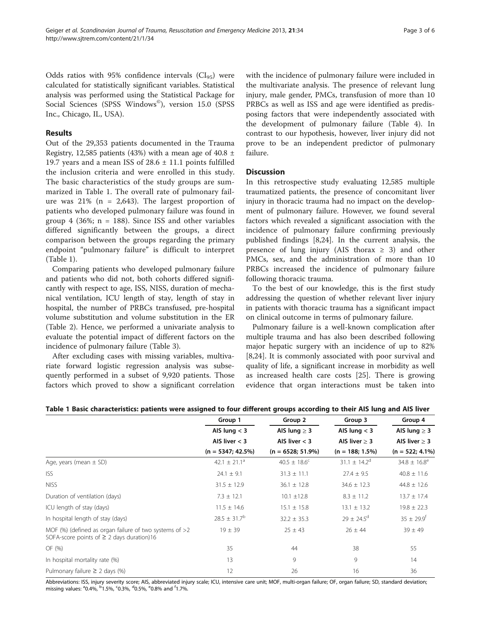Odds ratios with 95% confidence intervals  $(Cl_{95})$  were calculated for statistically significant variables. Statistical analysis was performed using the Statistical Package for Social Sciences (SPSS Windows©), version 15.0 (SPSS Inc., Chicago, IL, USA).

## Results

Out of the 29,353 patients documented in the Trauma Registry, 12,585 patients (43%) with a mean age of 40.8  $\pm$ 19.7 years and a mean ISS of 28.6 ± 11.1 points fulfilled the inclusion criteria and were enrolled in this study. The basic characteristics of the study groups are summarized in Table 1. The overall rate of pulmonary failure was  $21\%$  (n = 2,643). The largest proportion of patients who developed pulmonary failure was found in group 4 (36%;  $n = 188$ ). Since ISS and other variables differed significantly between the groups, a direct comparison between the groups regarding the primary endpoint "pulmonary failure" is difficult to interpret (Table 1).

Comparing patients who developed pulmonary failure and patients who did not, both cohorts differed significantly with respect to age, ISS, NISS, duration of mechanical ventilation, ICU length of stay, length of stay in hospital, the number of PRBCs transfused, pre-hospital volume substitution and volume substitution in the ER (Table [2\)](#page-3-0). Hence, we performed a univariate analysis to evaluate the potential impact of different factors on the incidence of pulmonary failure (Table [3](#page-3-0)).

After excluding cases with missing variables, multivariate forward logistic regression analysis was subsequently performed in a subset of 9,920 patients. Those factors which proved to show a significant correlation

with the incidence of pulmonary failure were included in the multivariate analysis. The presence of relevant lung injury, male gender, PMCs, transfusion of more than 10 PRBCs as well as ISS and age were identified as predisposing factors that were independently associated with the development of pulmonary failure (Table [4\)](#page-3-0). In contrast to our hypothesis, however, liver injury did not prove to be an independent predictor of pulmonary failure.

## **Discussion**

In this retrospective study evaluating 12,585 multiple traumatized patients, the presence of concomitant liver injury in thoracic trauma had no impact on the development of pulmonary failure. However, we found several factors which revealed a significant association with the incidence of pulmonary failure confirming previously published findings [[8,24\]](#page-5-0). In the current analysis, the presence of lung injury (AIS thorax  $\geq$  3) and other PMCs, sex, and the administration of more than 10 PRBCs increased the incidence of pulmonary failure following thoracic trauma.

To the best of our knowledge, this is the first study addressing the question of whether relevant liver injury in patients with thoracic trauma has a significant impact on clinical outcome in terms of pulmonary failure.

Pulmonary failure is a well-known complication after multiple trauma and has also been described following major hepatic surgery with an incidence of up to 82% [[8,24\]](#page-5-0). It is commonly associated with poor survival and quality of life, a significant increase in morbidity as well as increased health care costs [[25\]](#page-5-0). There is growing evidence that organ interactions must be taken into

| Table 1 Basic characteristics: patients were assigned to four different groups according to their AIS lung and AIS liver |  |
|--------------------------------------------------------------------------------------------------------------------------|--|
|--------------------------------------------------------------------------------------------------------------------------|--|

|                                                                                                            | Group 1                      | Group 2                 | Group 3<br>AIS lung $<$ 3<br>AIS liver $> 3$ | Group 4                    |  |
|------------------------------------------------------------------------------------------------------------|------------------------------|-------------------------|----------------------------------------------|----------------------------|--|
|                                                                                                            | AIS lung $<$ 3               | AIS lung $\geq$ 3       |                                              | AIS lung $\geq$ 3          |  |
|                                                                                                            | AIS liver $<$ 3              | AIS liver $<$ 3         |                                              | AIS liver $\geq$ 3         |  |
|                                                                                                            | $(n = 5347; 42.5\%)$         | $(n = 6528; 51.9\%)$    | $(n = 188; 1.5\%)$                           | $(n = 522; 4.1\%)$         |  |
| Age, years (mean $\pm$ SD)                                                                                 | 42.1 $\pm$ 21.1 <sup>a</sup> | $40.5 \pm 18.6^{\circ}$ | $31.1 \pm 14.2^{\circ}$                      | $34.8 \pm 16.8^e$          |  |
| <b>ISS</b>                                                                                                 | $24.1 \pm 9.1$               | $31.3 \pm 11.1$         | $27.4 \pm 9.5$                               | $40.8 \pm 11.6$            |  |
| <b>NISS</b>                                                                                                | $31.5 \pm 12.9$              | $36.1 \pm 12.8$         | $34.6 \pm 12.3$                              | $44.8 \pm 12.6$            |  |
| Duration of ventilation (days)                                                                             | $7.3 \pm 12.1$               | $10.1 \pm 12.8$         | $8.3 \pm 11.2$                               | $13.7 \pm 17.4$            |  |
| ICU length of stay (days)                                                                                  | $11.5 \pm 14.6$              | $15.1 \pm 15.8$         | $13.1 \pm 13.2$                              | $19.8 \pm 22.3$            |  |
| In hospital length of stay (days)                                                                          | $28.5 \pm 31.7^b$            | $32.2 \pm 35.3$         | $29 \pm 24.5^{\circ}$                        | $35 \pm 29.9$ <sup>f</sup> |  |
| MOF (%) (defined as organ failure of two systems of $>2$<br>SOFA-score points of $\geq$ 2 days duration)16 | $19 \pm 39$                  | $25 \pm 43$             | $26 \pm 44$                                  | $39 \pm 49$                |  |
| OF (%)                                                                                                     | 35                           | 44                      | 38                                           | 55                         |  |
| In hospital mortality rate (%)                                                                             | 13                           | 9                       | 9                                            | 14                         |  |
| Pulmonary failure $\geq$ 2 days (%)                                                                        | 12                           | 26                      | 16                                           | 36                         |  |

Abbreviations: ISS, injury severity score; AIS, abbreviated injury scale; ICU, intensive care unit; MOF, multi-organ failure; OF, organ failure; SD, standard deviation; missing values: <sup>a</sup>0.4%, <sup>b</sup>1.5%, <sup>c</sup>0.3%, <sup>d</sup>0.5%, <sup>e</sup>0.8% and <sup>f</sup>1.7%.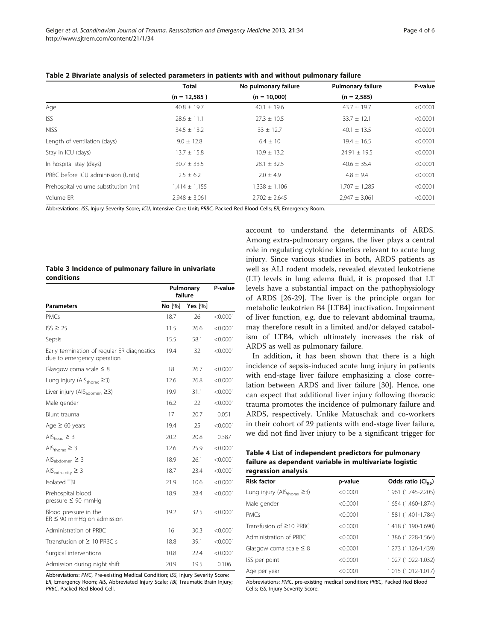|                                      | <b>Total</b>      | No pulmonary failure | <b>Pulmonary failure</b> | P-value  |
|--------------------------------------|-------------------|----------------------|--------------------------|----------|
|                                      | $(n = 12,585)$    | $(n = 10,000)$       | $(n = 2,585)$            |          |
| Age                                  | $40.8 \pm 19.7$   | $40.1 \pm 19.6$      | $43.7 \pm 19.7$          | < 0.0001 |
| <b>ISS</b>                           | $28.6 \pm 11.1$   | $27.3 \pm 10.5$      | $33.7 \pm 12.1$          | < 0.0001 |
| <b>NISS</b>                          | $34.5 \pm 13.2$   | $33 \pm 12.7$        | $40.1 \pm 13.5$          | < 0.0001 |
| Length of ventilation (days)         | $9.0 \pm 12.8$    | $6.4 \pm 10$         | $19.4 \pm 16.5$          | < 0.0001 |
| Stay in ICU (days)                   | $13.7 \pm 15.8$   | $10.9 \pm 13.2$      | $24.91 \pm 19.5$         | < 0.0001 |
| In hospital stay (days)              | $30.7 \pm 33.5$   | $28.1 \pm 32.5$      | $40.6 \pm 35.4$          | < 0.0001 |
| PRBC before ICU adminission (Units)  | $2.5 \pm 6.2$     | $2.0 + 4.9$          | $4.8 \pm 9.4$            | < 0.0001 |
| Prehospital volume substitution (ml) | $1,414 \pm 1,155$ | $1,338 \pm 1,106$    | $1,707 \pm 1,285$        | < 0.0001 |
| Volume ER                            | $2,948 \pm 3,061$ | $2,702 \pm 2,645$    | $2,947 \pm 3,061$        | < 0.0001 |

<span id="page-3-0"></span>Table 2 Bivariate analysis of selected parameters in patients with and without pulmonary failure

Abbreviations: ISS, Injury Severity Score; ICU, Intensive Care Unit; PRBC, Packed Red Blood Cells; ER, Emergency Room.

#### Table 3 Incidence of pulmonary failure in univariate conditions

|                                                                           | Pulmonary<br>failure |                | P-value  |
|---------------------------------------------------------------------------|----------------------|----------------|----------|
| <b>Parameters</b>                                                         | No [%]               | <b>Yes</b> [%] |          |
| <b>PMCs</b>                                                               | 18.7                 | 26             | < 0.0001 |
| $ISS \geq 25$                                                             | 11.5                 | 26.6           | < 0.0001 |
| Sepsis                                                                    | 15.5                 | 58.1           | < 0.0001 |
| Early termination of regular ER diagnostics<br>due to emergency operation | 19.4                 | 32             | < 0.0001 |
| Glasgow coma scale $\leq 8$                                               | 18                   | 26.7           | < 0.0001 |
| Lung injury (AlS <sub>thorax</sub> $\geq$ 3)                              | 12.6                 | 26.8           | < 0.0001 |
| Liver injury (AlS <sub>adomen</sub> ≥3)                                   | 19.9                 | 31.1           | < 0.0001 |
| Male gender                                                               | 16.2                 | 22             | < 0.0001 |
| Blunt trauma                                                              | 17                   | 20.7           | 0.051    |
| Age $\geq 60$ years                                                       | 19.4                 | 25             | < 0.0001 |
| AlS <sub>head</sub> $\geq$ 3                                              | 20.2                 | 20.8           | 0.387    |
| AIS <sub>thorax</sub> $\geq$ 3                                            | 12.6                 | 25.9           | < 0.0001 |
| $\mathrm{AIS}_{\mathrm{abdomen}} \geq 3$                                  | 18.9                 | 26.1           | < 0.0001 |
| AIS <sub>extremity</sub> $\geq$ 3                                         | 18.7                 | 23.4           | < 0.0001 |
| <b>Isolated TBI</b>                                                       | 21.9                 | 10.6           | < 0.0001 |
| Prehospital blood<br>pressure $\leq 90$ mmHg                              | 18.9                 | 28.4           | < 0.0001 |
| Blood pressure in the<br>$ER \leq 90$ mmHg on admission                   | 19.2                 | 32.5           | < 0.0001 |
| Administration of PRBC                                                    | 16                   | 30.3           | < 0.0001 |
| Transfusion of $\geq 10$ PRBC s                                           | 18.8                 | 39.1           | < 0.0001 |
| Surgical interventions                                                    | 10.8                 | 22.4           | < 0.0001 |
| Admission during night shift                                              | 20.9                 | 19.5           | 0.106    |

Abbreviations: PMC, Pre-existing Medical Condition; ISS, Injury Severity Score; ER, Emergency Room; AIS, Abbreviated Injury Scale; TBI, Traumatic Brain Injury; PRBC, Packed Red Blood Cell.

account to understand the determinants of ARDS. Among extra-pulmonary organs, the liver plays a central role in regulating cytokine kinetics relevant to acute lung injury. Since various studies in both, ARDS patients as well as ALI rodent models, revealed elevated leukotriene (LT) levels in lung edema fluid, it is proposed that LT levels have a substantial impact on the pathophysiology of ARDS [\[26-29](#page-5-0)]. The liver is the principle organ for metabolic leukotrien B4 [LTB4] inactivation. Impairment of liver function, e.g. due to relevant abdominal trauma, may therefore result in a limited and/or delayed catabolism of LTB4, which ultimately increases the risk of ARDS as well as pulmonary failure.

In addition, it has been shown that there is a high incidence of sepsis-induced acute lung injury in patients with end-stage liver failure emphasizing a close correlation between ARDS and liver failure [\[30](#page-5-0)]. Hence, one can expect that additional liver injury following thoracic trauma promotes the incidence of pulmonary failure and ARDS, respectively. Unlike Matuschak and co-workers in their cohort of 29 patients with end-stage liver failure, we did not find liver injury to be a significant trigger for

| Table 4 List of independent predictors for pulmonary   |
|--------------------------------------------------------|
| failure as dependent variable in multivariate logistic |
| regression analysis                                    |

| <b>Risk factor</b>                           | p-value  | Odds ratio $(Cl_{95})$ |
|----------------------------------------------|----------|------------------------|
| Lung injury (AlS <sub>thorax</sub> $\geq$ 3) | < 0.0001 | 1.961 (1.745-2.205)    |
| Male gender                                  | < 0.0001 | 1.654 (1.460-1.874)    |
| <b>PMCs</b>                                  | < 0.0001 | 1.581 (1.401-1.784)    |
| Transfusion of ≥10 PRBC                      | < 0.0001 | 1.418 (1.190-1.690)    |
| Administration of PRBC                       | < 0.0001 | 1.386 (1.228-1.564)    |
| Glasgow coma scale $\leq 8$                  | < 0.0001 | 1.273 (1.126-1.439)    |
| ISS per point                                | < 0.0001 | 1.027 (1.022-1.032)    |
| Age per year                                 | < 0.0001 | 1.015 (1.012-1.017)    |

Abbreviations: PMC, pre-existing medical condition; PRBC, Packed Red Blood Cells; ISS, Injury Severity Score.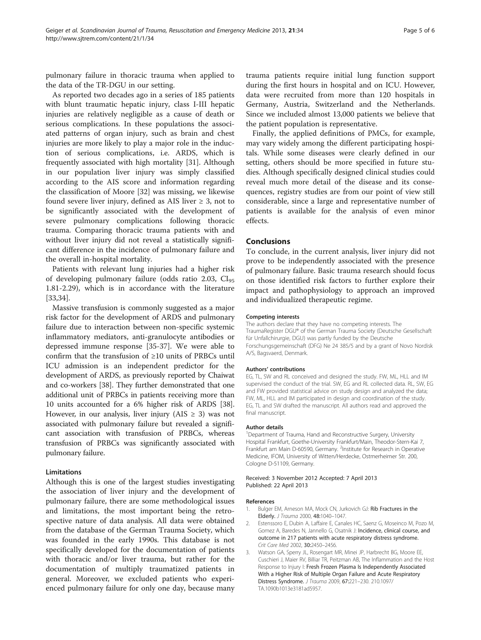<span id="page-4-0"></span>pulmonary failure in thoracic trauma when applied to the data of the TR-DGU in our setting.

As reported two decades ago in a series of 185 patients with blunt traumatic hepatic injury, class I-III hepatic injuries are relatively negligible as a cause of death or serious complications. In these populations the associated patterns of organ injury, such as brain and chest injuries are more likely to play a major role in the induction of serious complications, i.e. ARDS, which is frequently associated with high mortality [\[31](#page-5-0)]. Although in our population liver injury was simply classified according to the AIS score and information regarding the classification of Moore [\[32\]](#page-5-0) was missing, we likewise found severe liver injury, defined as AIS liver  $\geq$  3, not to be significantly associated with the development of severe pulmonary complications following thoracic trauma. Comparing thoracic trauma patients with and without liver injury did not reveal a statistically significant difference in the incidence of pulmonary failure and the overall in-hospital mortality.

Patients with relevant lung injuries had a higher risk of developing pulmonary failure (odds ratio 2.03,  $CI_{95}$ 1.81-2.29), which is in accordance with the literature [[33,34\]](#page-5-0).

Massive transfusion is commonly suggested as a major risk factor for the development of ARDS and pulmonary failure due to interaction between non-specific systemic inflammatory mediators, anti-granulocyte antibodies or depressed immune response [\[35](#page-5-0)-[37](#page-5-0)]. We were able to confirm that the transfusion of ≥10 units of PRBCs until ICU admission is an independent predictor for the development of ARDS, as previously reported by Chaiwat and co-workers [[38](#page-5-0)]. They further demonstrated that one additional unit of PRBCs in patients receiving more than 10 units accounted for a 6% higher risk of ARDS [[38](#page-5-0)]. However, in our analysis, liver injury (AIS  $\geq$  3) was not associated with pulmonary failure but revealed a significant association with transfusion of PRBCs, whereas transfusion of PRBCs was significantly associated with pulmonary failure.

#### Limitations

Although this is one of the largest studies investigating the association of liver injury and the development of pulmonary failure, there are some methodological issues and limitations, the most important being the retrospective nature of data analysis. All data were obtained from the database of the German Trauma Society, which was founded in the early 1990s. This database is not specifically developed for the documentation of patients with thoracic and/or liver trauma, but rather for the documentation of multiply traumatized patients in general. Moreover, we excluded patients who experienced pulmonary failure for only one day, because many

trauma patients require initial lung function support during the first hours in hospital and on ICU. However, data were recruited from more than 120 hospitals in Germany, Austria, Switzerland and the Netherlands. Since we included almost 13,000 patients we believe that the patient population is representative.

Finally, the applied definitions of PMCs, for example, may vary widely among the different participating hospitals. While some diseases were clearly defined in our setting, others should be more specified in future studies. Although specifically designed clinical studies could reveal much more detail of the disease and its consequences, registry studies are from our point of view still considerable, since a large and representative number of patients is available for the analysis of even minor effects.

## Conclusions

To conclude, in the current analysis, liver injury did not prove to be independently associated with the presence of pulmonary failure. Basic trauma research should focus on those identified risk factors to further explore their impact and pathophysiology to approach an improved and individualized therapeutic regime.

#### Competing interests

The authors declare that they have no competing interests. The TraumaRegister DGU® of the German Trauma Society (Deutsche Gesellschaft für Unfallchirurgie, DGU) was partly funded by the Deutsche Forschungsgemeinschaft (DFG) Ne 24 385/5 and by a grant of Novo Nordisk A/S, Bagsvaerd, Denmark.

#### Authors' contributions

EG, TL, SW and RL conceived and designed the study. FW, ML, HLL and IM supervised the conduct of the trial. SW, EG and RL collected data. RL, SW, EG and FW provided statistical advice on study design and analyzed the data; FW, ML, HLL and IM participated in design and coordination of the study. EG, TL and SW drafted the manuscript. All authors read and approved the final manuscript.

#### Author details

<sup>1</sup>Department of Trauma, Hand and Reconstructive Surgery, University Hospital Frankfurt, Goethe-University Frankfurt/Main, Theodor-Stern-Kai 7, Frankfurt am Main D-60590, Germany. <sup>2</sup>Institute for Research in Operative Medicine, IFOM, University of Witten/Herdecke, Ostmerheimer Str. 200, Cologne D-51109, Germany.

#### Received: 3 November 2012 Accepted: 7 April 2013 Published: 22 April 2013

#### References

- 1. Bulger EM, Arneson MA, Mock CN, Jurkovich GJ: Rib Fractures in the Elderly. J Trauma 2000, 48:1040–1047.
- 2. Estenssoro E, Dubin A, Laffaire E, Canales HC, Saenz G, Moseinco M, Pozo M, Gomez A, Baredes N, Jannello G, Osatnik J: Incidence, clinical course, and outcome in 217 patients with acute respiratory distress syndrome. Crit Care Med 2002, 30:2450–2456.
- 3. Watson GA, Sperry JL, Rosengart MR, Minei JP, Harbrecht BG, Moore EE, Cuschieri J, Maier RV, Billiar TR, Peitzman AB, The Inflammation and the Host Response to Injury I: Fresh Frozen Plasma Is Independently Associated With a Higher Risk of Multiple Organ Failure and Acute Respiratory Distress Syndrome. J Trauma 2009, 67:221–230. 210.1097/ TA.1090b1013e3181ad5957.